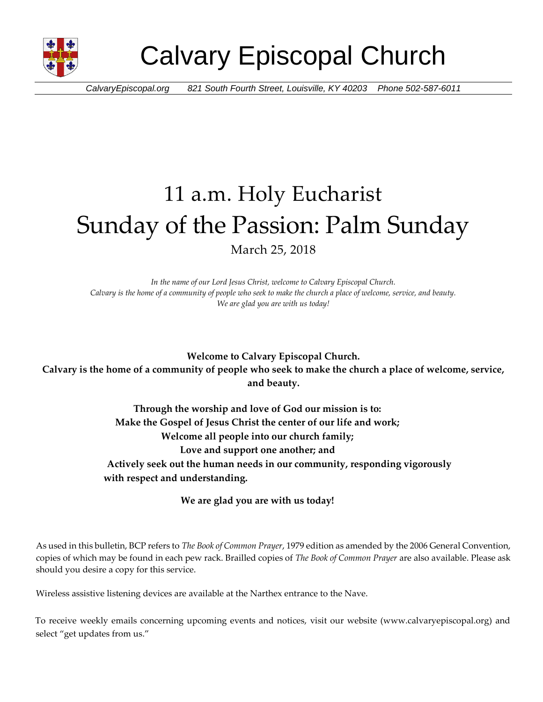

# Calvary Episcopal Church

*CalvaryEpiscopal.org 821 South Fourth Street, Louisville, KY 40203 Phone 502-587-6011*

# 11 a.m. Holy Eucharist Sunday of the Passion: Palm Sunday

March 25, 2018

*In the name of our Lord Jesus Christ, welcome to Calvary Episcopal Church. Calvary is the home of a community of people who seek to make the church a place of welcome, service, and beauty. We are glad you are with us today!*

**Welcome to Calvary Episcopal Church. Calvary is the home of a community of people who seek to make the church a place of welcome, service, and beauty.** 

> **Through the worship and love of God our mission is to: Make the Gospel of Jesus Christ the center of our life and work; Welcome all people into our church family; Love and support one another; and Actively seek out the human needs in our community, responding vigorously with respect and understanding.**

> > **We are glad you are with us today!**

As used in this bulletin, BCP refers to *The Book of Common Prayer*, 1979 edition as amended by the 2006 General Convention, copies of which may be found in each pew rack. Brailled copies of *The Book of Common Prayer* are also available. Please ask should you desire a copy for this service.

Wireless assistive listening devices are available at the Narthex entrance to the Nave.

To receive weekly emails concerning upcoming events and notices, visit our website (www.calvaryepiscopal.org) and select "get updates from us."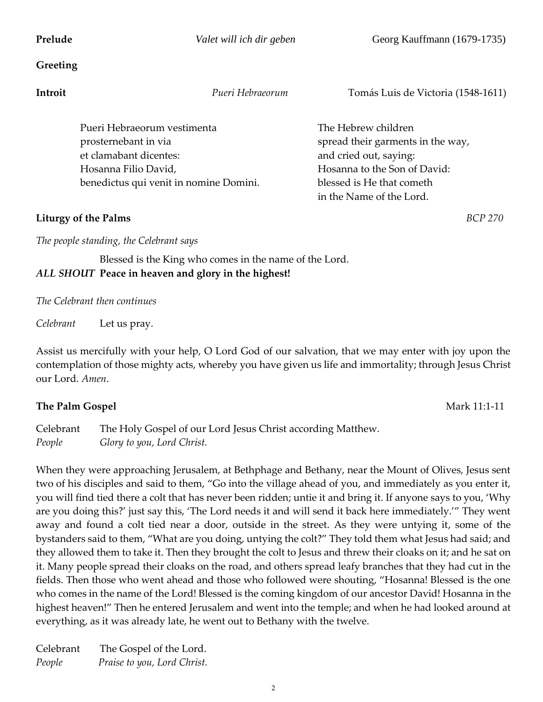| Prelude  | Valet will ich dir geben                                                                                                                        | Georg Kauffmann (1679-1735)                                                                                                                                                 |
|----------|-------------------------------------------------------------------------------------------------------------------------------------------------|-----------------------------------------------------------------------------------------------------------------------------------------------------------------------------|
| Greeting |                                                                                                                                                 |                                                                                                                                                                             |
| Introit  | Pueri Hebraeorum                                                                                                                                | Tomás Luis de Victoria (1548-1611)                                                                                                                                          |
|          | Pueri Hebraeorum vestimenta<br>prosternebant in via<br>et clamabant dicentes:<br>Hosanna Filio David,<br>benedictus qui venit in nomine Domini. | The Hebrew children<br>spread their garments in the way,<br>and cried out, saying:<br>Hosanna to the Son of David:<br>blessed is He that cometh<br>in the Name of the Lord. |
|          | <b>Liturgy of the Palms</b>                                                                                                                     | <b>BCP 270</b>                                                                                                                                                              |
|          | The people standing, the Celebrant says                                                                                                         |                                                                                                                                                                             |

Blessed is the King who comes in the name of the Lord. *ALL SHOUT* **Peace in heaven and glory in the highest!** 

*The Celebrant then continues*

*Celebrant* Let us pray.

Assist us mercifully with your help, O Lord God of our salvation, that we may enter with joy upon the contemplation of those mighty acts, whereby you have given us life and immortality; through Jesus Christ our Lord. *Amen*.

#### **The Palm Gospel 11:1-11**

Celebrant The Holy Gospel of our Lord Jesus Christ according Matthew. *People Glory to you, Lord Christ.*

When they were approaching Jerusalem, at Bethphage and Bethany, near the Mount of Olives, Jesus sent two of his disciples and said to them, "Go into the village ahead of you, and immediately as you enter it, you will find tied there a colt that has never been ridden; untie it and bring it. If anyone says to you, 'Why are you doing this?' just say this, 'The Lord needs it and will send it back here immediately.'" They went away and found a colt tied near a door, outside in the street. As they were untying it, some of the bystanders said to them, "What are you doing, untying the colt?" They told them what Jesus had said; and they allowed them to take it. Then they brought the colt to Jesus and threw their cloaks on it; and he sat on it. Many people spread their cloaks on the road, and others spread leafy branches that they had cut in the fields. Then those who went ahead and those who followed were shouting, "Hosanna! Blessed is the one who comes in the name of the Lord! Blessed is the coming kingdom of our ancestor David! Hosanna in the highest heaven!" Then he entered Jerusalem and went into the temple; and when he had looked around at everything, as it was already late, he went out to Bethany with the twelve.

Celebrant The Gospel of the Lord. *People Praise to you, Lord Christ.*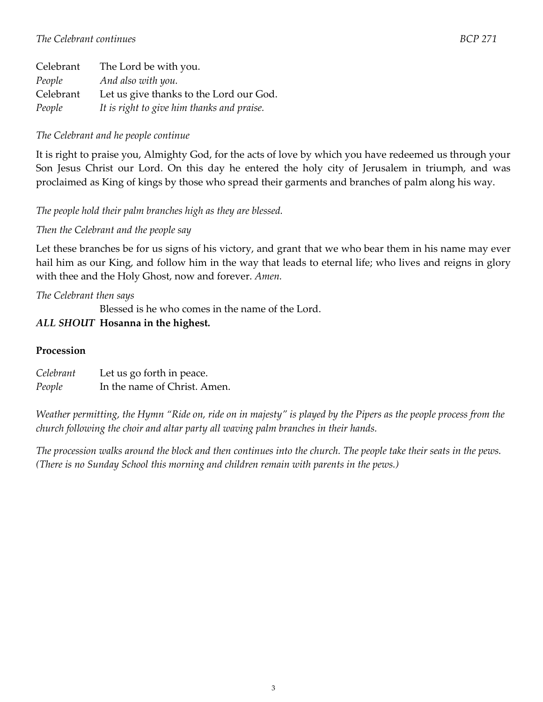| Celebrant | The Lord be with you.                      |
|-----------|--------------------------------------------|
| People    | And also with you.                         |
| Celebrant | Let us give thanks to the Lord our God.    |
| People    | It is right to give him thanks and praise. |

#### *The Celebrant and he people continue*

It is right to praise you, Almighty God, for the acts of love by which you have redeemed us through your Son Jesus Christ our Lord. On this day he entered the holy city of Jerusalem in triumph, and was proclaimed as King of kings by those who spread their garments and branches of palm along his way.

#### *The people hold their palm branches high as they are blessed.*

#### *Then the Celebrant and the people say*

Let these branches be for us signs of his victory, and grant that we who bear them in his name may ever hail him as our King, and follow him in the way that leads to eternal life; who lives and reigns in glory with thee and the Holy Ghost, now and forever. *Amen.*

*The Celebrant then says*

Blessed is he who comes in the name of the Lord.

### *ALL SHOUT* **Hosanna in the highest.**

#### **Procession**

*Celebrant* Let us go forth in peace. *People* In the name of Christ. Amen.

*Weather permitting, the Hymn "Ride on, ride on in majesty" is played by the Pipers as the people process from the church following the choir and altar party all waving palm branches in their hands.*

*The procession walks around the block and then continues into the church. The people take their seats in the pews. (There is no Sunday School this morning and children remain with parents in the pews.)*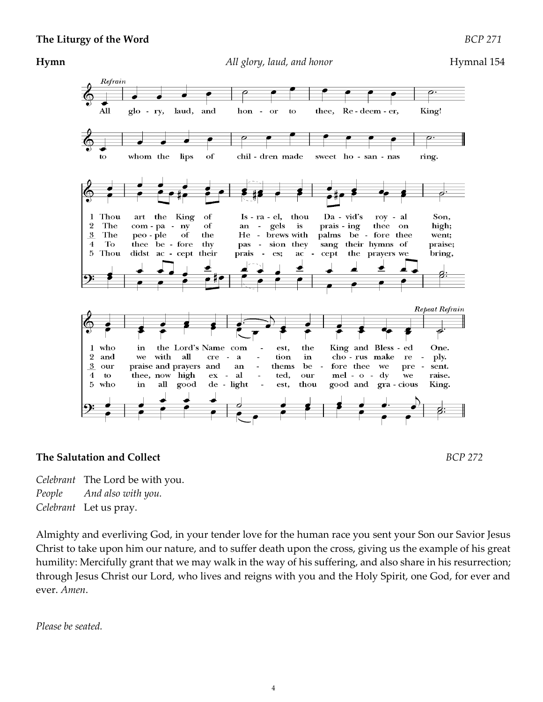**Hymn** Hymnal 154



#### **The Salutation and Collect** *BCP 272*

*Celebrant* The Lord be with you. *People And also with you. Celebrant* Let us pray.

Almighty and everliving God, in your tender love for the human race you sent your Son our Savior Jesus Christ to take upon him our nature, and to suffer death upon the cross, giving us the example of his great humility: Mercifully grant that we may walk in the way of his suffering, and also share in his resurrection; through Jesus Christ our Lord, who lives and reigns with you and the Holy Spirit, one God, for ever and ever. *Amen*.

*Please be seated.*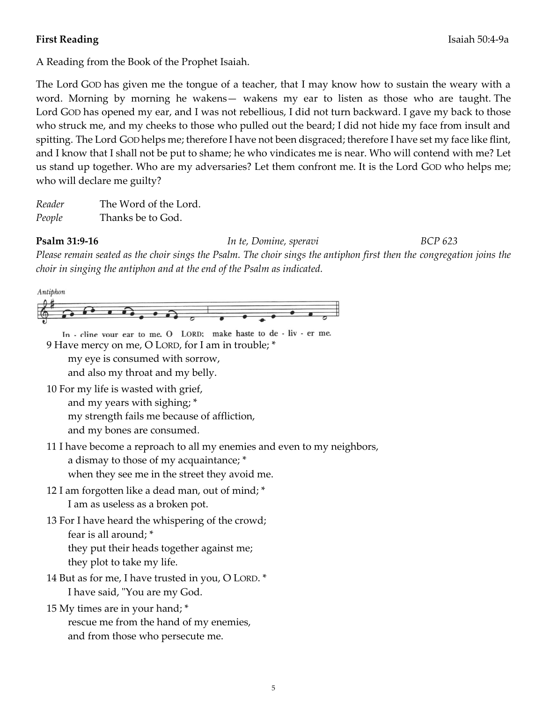#### **First Reading** Isaiah 50:4-9a

A Reading from the Book of the Prophet Isaiah.

The Lord GOD has given me the tongue of a teacher, that I may know how to sustain the weary with a word. Morning by morning he wakens— wakens my ear to listen as those who are taught. The Lord GOD has opened my ear, and I was not rebellious, I did not turn backward. I gave my back to those who struck me, and my cheeks to those who pulled out the beard; I did not hide my face from insult and spitting. The Lord GOD helps me; therefore I have not been disgraced; therefore I have set my face like flint, and I know that I shall not be put to shame; he who vindicates me is near. Who will contend with me? Let us stand up together. Who are my adversaries? Let them confront me. It is the Lord GOD who helps me; who will declare me guilty?

*Reader* The Word of the Lord. *People* Thanks be to God.

**Psalm 31:9-16** *In te, Domine, speravi BCP 623 Please remain seated as the choir sings the Psalm. The choir sings the antiphon first then the congregation joins the choir in singing the antiphon and at the end of the Psalm as indicated.*

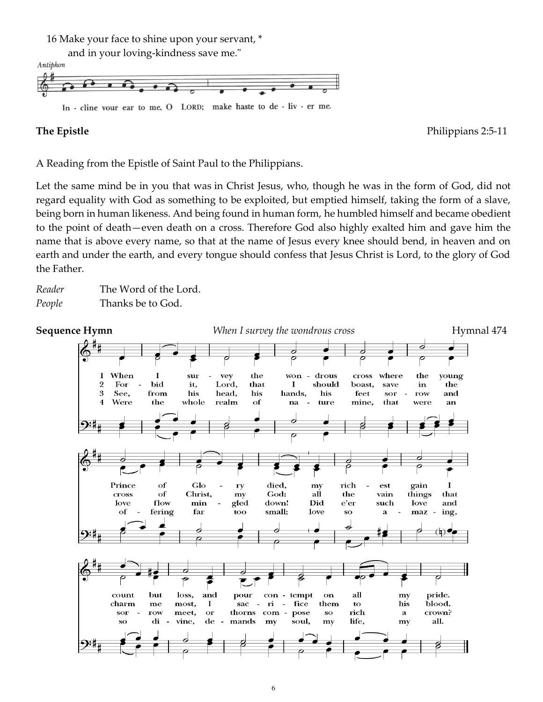16 Make your face to shine upon your servant, \*





**The Epistle** Philippians 2:5-11

A Reading from the Epistle of Saint Paul to the Philippians.

Let the same mind be in you that was in Christ Jesus, who, though he was in the form of God, did not regard equality with God as something to be exploited, but emptied himself, taking the form of a slave, being born in human likeness. And being found in human form, he humbled himself and became obedient to the point of death—even death on a cross. Therefore God also highly exalted him and gave him the name that is above every name, so that at the name of Jesus every knee should bend, in heaven and on earth and under the earth, and every tongue should confess that Jesus Christ is Lord, to the glory of God the Father.

*Reader* The Word of the Lord. *People* Thanks be to God.

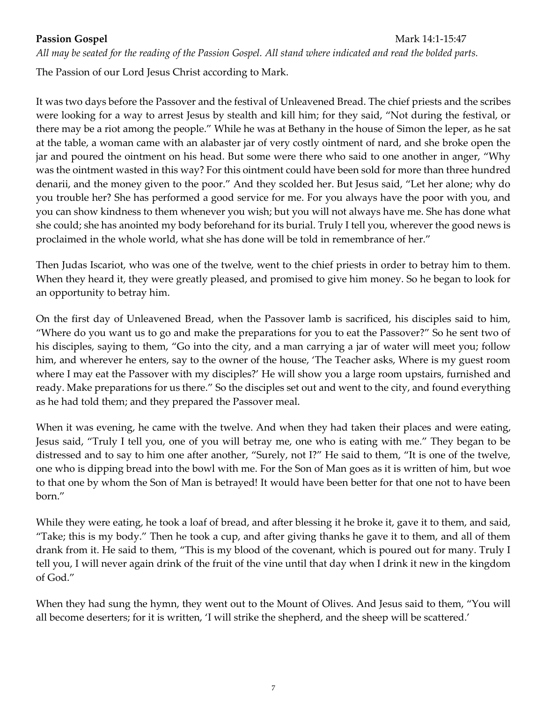#### **Passion Gospel** Mark 14:1-15:47

*All may be seated for the reading of the Passion Gospel. All stand where indicated and read the bolded parts.*

The Passion of our Lord Jesus Christ according to Mark.

It was two days before the Passover and the festival of Unleavened Bread. The chief priests and the scribes were looking for a way to arrest Jesus by stealth and kill him; for they said, "Not during the festival, or there may be a riot among the people." While he was at Bethany in the house of Simon the leper, as he sat at the table, a woman came with an alabaster jar of very costly ointment of nard, and she broke open the jar and poured the ointment on his head. But some were there who said to one another in anger, "Why was the ointment wasted in this way? For this ointment could have been sold for more than three hundred denarii, and the money given to the poor." And they scolded her. But Jesus said, "Let her alone; why do you trouble her? She has performed a good service for me. For you always have the poor with you, and you can show kindness to them whenever you wish; but you will not always have me. She has done what she could; she has anointed my body beforehand for its burial. Truly I tell you, wherever the good news is proclaimed in the whole world, what she has done will be told in remembrance of her."

Then Judas Iscariot, who was one of the twelve, went to the chief priests in order to betray him to them. When they heard it, they were greatly pleased, and promised to give him money. So he began to look for an opportunity to betray him.

On the first day of Unleavened Bread, when the Passover lamb is sacrificed, his disciples said to him, "Where do you want us to go and make the preparations for you to eat the Passover?" So he sent two of his disciples, saying to them, "Go into the city, and a man carrying a jar of water will meet you; follow him, and wherever he enters, say to the owner of the house, 'The Teacher asks, Where is my guest room where I may eat the Passover with my disciples?' He will show you a large room upstairs, furnished and ready. Make preparations for us there." So the disciples set out and went to the city, and found everything as he had told them; and they prepared the Passover meal.

When it was evening, he came with the twelve. And when they had taken their places and were eating, Jesus said, "Truly I tell you, one of you will betray me, one who is eating with me." They began to be distressed and to say to him one after another, "Surely, not I?" He said to them, "It is one of the twelve, one who is dipping bread into the bowl with me. For the Son of Man goes as it is written of him, but woe to that one by whom the Son of Man is betrayed! It would have been better for that one not to have been born."

While they were eating, he took a loaf of bread, and after blessing it he broke it, gave it to them, and said, "Take; this is my body." Then he took a cup, and after giving thanks he gave it to them, and all of them drank from it. He said to them, "This is my blood of the covenant, which is poured out for many. Truly I tell you, I will never again drink of the fruit of the vine until that day when I drink it new in the kingdom of God."

When they had sung the hymn, they went out to the Mount of Olives. And Jesus said to them, "You will all become deserters; for it is written, 'I will strike the shepherd, and the sheep will be scattered.'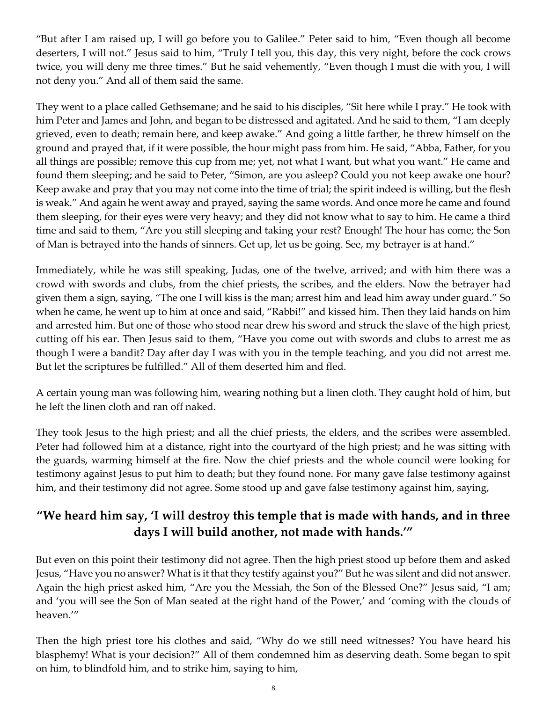"But after I am raised up, I will go before you to Galilee." Peter said to him, "Even though all become deserters, I will not." Jesus said to him, "Truly I tell you, this day, this very night, before the cock crows twice, you will deny me three times." But he said vehemently, "Even though I must die with you, I will not deny you." And all of them said the same.

They went to a place called Gethsemane; and he said to his disciples, "Sit here while I pray." He took with him Peter and James and John, and began to be distressed and agitated. And he said to them, "I am deeply grieved, even to death; remain here, and keep awake." And going a little farther, he threw himself on the ground and prayed that, if it were possible, the hour might pass from him. He said, "Abba, Father, for you all things are possible; remove this cup from me; yet, not what I want, but what you want." He came and found them sleeping; and he said to Peter, "Simon, are you asleep? Could you not keep awake one hour? Keep awake and pray that you may not come into the time of trial; the spirit indeed is willing, but the flesh is weak." And again he went away and prayed, saying the same words. And once more he came and found them sleeping, for their eyes were very heavy; and they did not know what to say to him. He came a third time and said to them, "Are you still sleeping and taking your rest? Enough! The hour has come; the Son of Man is betrayed into the hands of sinners. Get up, let us be going. See, my betrayer is at hand."

Immediately, while he was still speaking, Judas, one of the twelve, arrived; and with him there was a crowd with swords and clubs, from the chief priests, the scribes, and the elders. Now the betrayer had given them a sign, saying, "The one I will kiss is the man; arrest him and lead him away under guard." So when he came, he went up to him at once and said, "Rabbi!" and kissed him. Then they laid hands on him and arrested him. But one of those who stood near drew his sword and struck the slave of the high priest, cutting off his ear. Then Jesus said to them, "Have you come out with swords and clubs to arrest me as though I were a bandit? Day after day I was with you in the temple teaching, and you did not arrest me. But let the scriptures be fulfilled." All of them deserted him and fled.

A certain young man was following him, wearing nothing but a linen cloth. They caught hold of him, but he left the linen cloth and ran off naked.

They took Jesus to the high priest; and all the chief priests, the elders, and the scribes were assembled. Peter had followed him at a distance, right into the courtyard of the high priest; and he was sitting with the guards, warming himself at the fire. Now the chief priests and the whole council were looking for testimony against Jesus to put him to death; but they found none. For many gave false testimony against him, and their testimony did not agree. Some stood up and gave false testimony against him, saying,

# **"We heard him say, 'I will destroy this temple that is made with hands, and in three days I will build another, not made with hands.'"**

But even on this point their testimony did not agree. Then the high priest stood up before them and asked Jesus, "Have you no answer? What is it that they testify against you?" But he was silent and did not answer. Again the high priest asked him, "Are you the Messiah, the Son of the Blessed One?" Jesus said, "I am; and 'you will see the Son of Man seated at the right hand of the Power,' and 'coming with the clouds of heaven.'"

Then the high priest tore his clothes and said, "Why do we still need witnesses? You have heard his blasphemy! What is your decision?" All of them condemned him as deserving death. Some began to spit on him, to blindfold him, and to strike him, saying to him,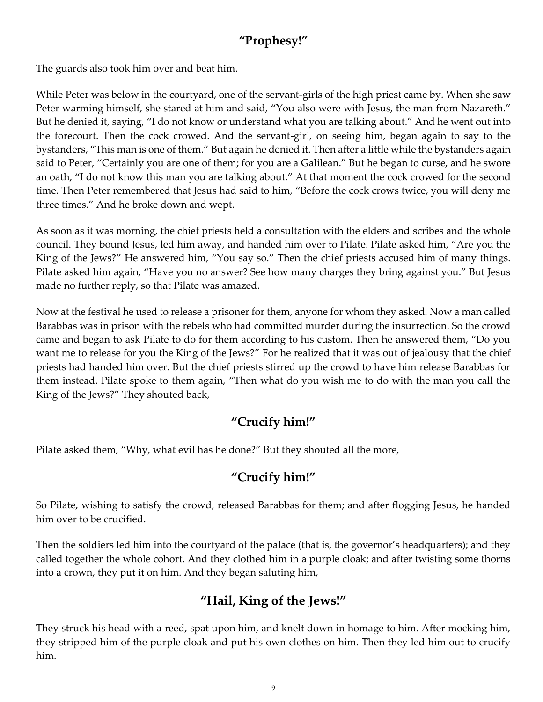## **"Prophesy!"**

The guards also took him over and beat him.

While Peter was below in the courtyard, one of the servant-girls of the high priest came by. When she saw Peter warming himself, she stared at him and said, "You also were with Jesus, the man from Nazareth." But he denied it, saying, "I do not know or understand what you are talking about." And he went out into the forecourt. Then the cock crowed. And the servant-girl, on seeing him, began again to say to the bystanders, "This man is one of them." But again he denied it. Then after a little while the bystanders again said to Peter, "Certainly you are one of them; for you are a Galilean." But he began to curse, and he swore an oath, "I do not know this man you are talking about." At that moment the cock crowed for the second time. Then Peter remembered that Jesus had said to him, "Before the cock crows twice, you will deny me three times." And he broke down and wept.

As soon as it was morning, the chief priests held a consultation with the elders and scribes and the whole council. They bound Jesus, led him away, and handed him over to Pilate. Pilate asked him, "Are you the King of the Jews?" He answered him, "You say so." Then the chief priests accused him of many things. Pilate asked him again, "Have you no answer? See how many charges they bring against you." But Jesus made no further reply, so that Pilate was amazed.

Now at the festival he used to release a prisoner for them, anyone for whom they asked. Now a man called Barabbas was in prison with the rebels who had committed murder during the insurrection. So the crowd came and began to ask Pilate to do for them according to his custom. Then he answered them, "Do you want me to release for you the King of the Jews?" For he realized that it was out of jealousy that the chief priests had handed him over. But the chief priests stirred up the crowd to have him release Barabbas for them instead. Pilate spoke to them again, "Then what do you wish me to do with the man you call the King of the Jews?" They shouted back,

## **"Crucify him!"**

Pilate asked them, "Why, what evil has he done?" But they shouted all the more,

# **"Crucify him!"**

So Pilate, wishing to satisfy the crowd, released Barabbas for them; and after flogging Jesus, he handed him over to be crucified.

Then the soldiers led him into the courtyard of the palace (that is, the governor's headquarters); and they called together the whole cohort. And they clothed him in a purple cloak; and after twisting some thorns into a crown, they put it on him. And they began saluting him,

# **"Hail, King of the Jews!"**

They struck his head with a reed, spat upon him, and knelt down in homage to him. After mocking him, they stripped him of the purple cloak and put his own clothes on him. Then they led him out to crucify him.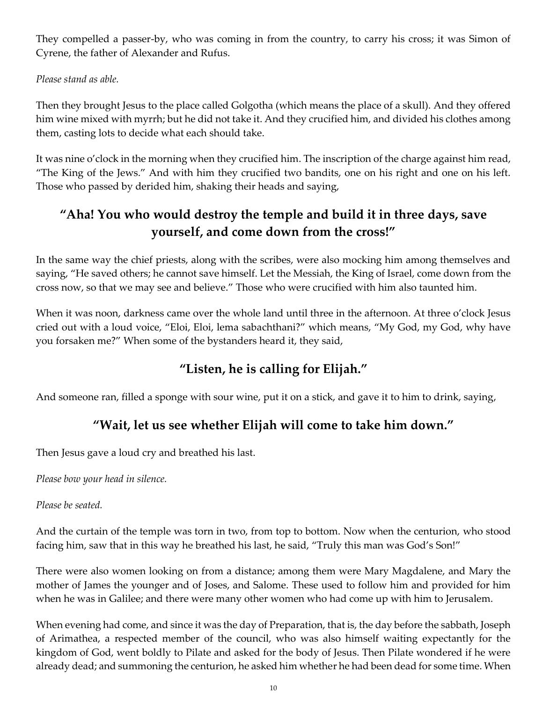They compelled a passer-by, who was coming in from the country, to carry his cross; it was Simon of Cyrene, the father of Alexander and Rufus.

### *Please stand as able.*

Then they brought Jesus to the place called Golgotha (which means the place of a skull). And they offered him wine mixed with myrrh; but he did not take it. And they crucified him, and divided his clothes among them, casting lots to decide what each should take.

It was nine o'clock in the morning when they crucified him. The inscription of the charge against him read, "The King of the Jews." And with him they crucified two bandits, one on his right and one on his left. Those who passed by derided him, shaking their heads and saying,

# **"Aha! You who would destroy the temple and build it in three days, save yourself, and come down from the cross!"**

In the same way the chief priests, along with the scribes, were also mocking him among themselves and saying, "He saved others; he cannot save himself. Let the Messiah, the King of Israel, come down from the cross now, so that we may see and believe." Those who were crucified with him also taunted him.

When it was noon, darkness came over the whole land until three in the afternoon. At three o'clock Jesus cried out with a loud voice, "Eloi, Eloi, lema sabachthani?" which means, "My God, my God, why have you forsaken me?" When some of the bystanders heard it, they said,

# **"Listen, he is calling for Elijah."**

And someone ran, filled a sponge with sour wine, put it on a stick, and gave it to him to drink, saying,

# **"Wait, let us see whether Elijah will come to take him down."**

Then Jesus gave a loud cry and breathed his last.

*Please bow your head in silence.*

### *Please be seated.*

And the curtain of the temple was torn in two, from top to bottom. Now when the centurion, who stood facing him, saw that in this way he breathed his last, he said, "Truly this man was God's Son!"

There were also women looking on from a distance; among them were Mary Magdalene, and Mary the mother of James the younger and of Joses, and Salome. These used to follow him and provided for him when he was in Galilee; and there were many other women who had come up with him to Jerusalem.

When evening had come, and since it was the day of Preparation, that is, the day before the sabbath, Joseph of Arimathea, a respected member of the council, who was also himself waiting expectantly for the kingdom of God, went boldly to Pilate and asked for the body of Jesus. Then Pilate wondered if he were already dead; and summoning the centurion, he asked him whether he had been dead for some time. When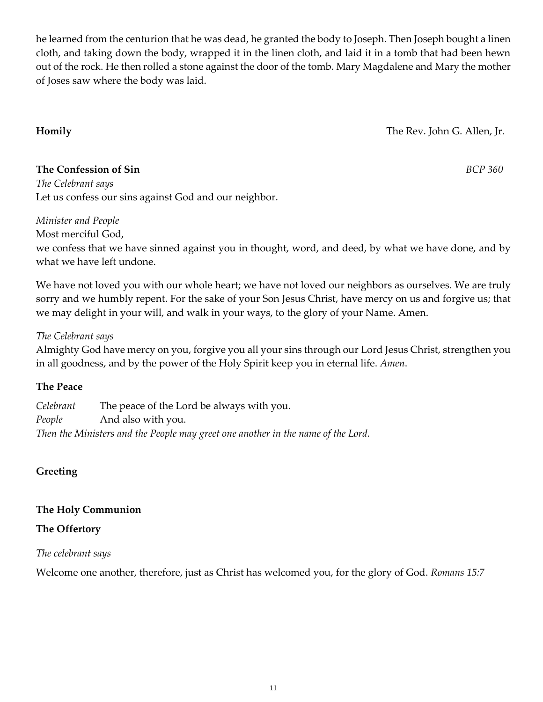he learned from the centurion that he was dead, he granted the body to Joseph. Then Joseph bought a linen cloth, and taking down the body, wrapped it in the linen cloth, and laid it in a tomb that had been hewn out of the rock. He then rolled a stone against the door of the tomb. Mary Magdalene and Mary the mother of Joses saw where the body was laid.

**Homily** The Rev. John G. Allen, Jr.

**The Confession of Sin** *BCP 360*

*The Celebrant says* Let us confess our sins against God and our neighbor.

*Minister and People*

Most merciful God,

we confess that we have sinned against you in thought, word, and deed, by what we have done, and by what we have left undone.

We have not loved you with our whole heart; we have not loved our neighbors as ourselves. We are truly sorry and we humbly repent. For the sake of your Son Jesus Christ, have mercy on us and forgive us; that we may delight in your will, and walk in your ways, to the glory of your Name. Amen.

#### *The Celebrant says*

Almighty God have mercy on you, forgive you all your sins through our Lord Jesus Christ, strengthen you in all goodness, and by the power of the Holy Spirit keep you in eternal life. *Amen*.

#### **The Peace**

*Celebrant* The peace of the Lord be always with you. *People* And also with you. *Then the Ministers and the People may greet one another in the name of the Lord.*

### **Greeting**

**The Holy Communion**

### **The Offertory**

#### *The celebrant says*

Welcome one another, therefore, just as Christ has welcomed you, for the glory of God. *Romans 15:7*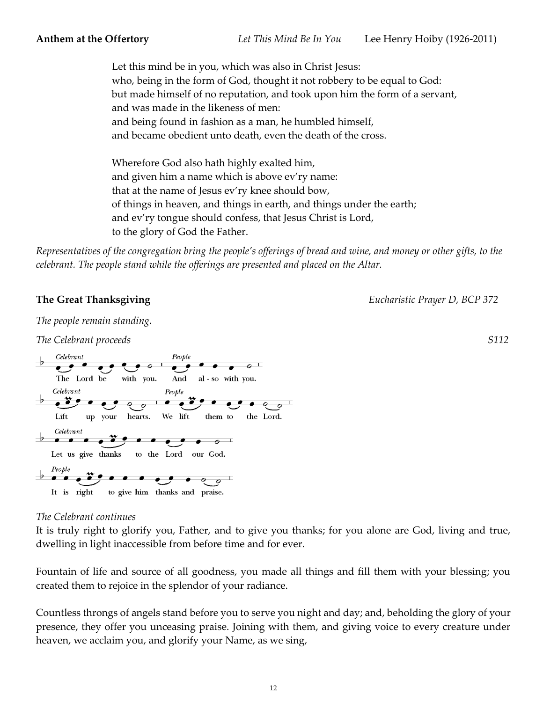Let this mind be in you, which was also in Christ Jesus: who, being in the form of God, thought it not robbery to be equal to God: but made himself of no reputation, and took upon him the form of a servant, and was made in the likeness of men: and being found in fashion as a man, he humbled himself, and became obedient unto death, even the death of the cross.

Wherefore God also hath highly exalted him, and given him a name which is above ev'ry name: that at the name of Jesus ev'ry knee should bow, of things in heaven, and things in earth, and things under the earth; and ev'ry tongue should confess, that Jesus Christ is Lord, to the glory of God the Father.

*Representatives of the congregation bring the people's offerings of bread and wine, and money or other gifts, to the celebrant. The people stand while the offerings are presented and placed on the Altar.*

**The Great Thanksgiving** *Eucharistic Prayer D, BCP 372*

*The people remain standing.*

*The Celebrant proceeds S112*



#### *The Celebrant continues*

It is truly right to glorify you, Father, and to give you thanks; for you alone are God, living and true, dwelling in light inaccessible from before time and for ever.

Fountain of life and source of all goodness, you made all things and fill them with your blessing; you created them to rejoice in the splendor of your radiance.

Countless throngs of angels stand before you to serve you night and day; and, beholding the glory of your presence, they offer you unceasing praise. Joining with them, and giving voice to every creature under heaven, we acclaim you, and glorify your Name, as we sing,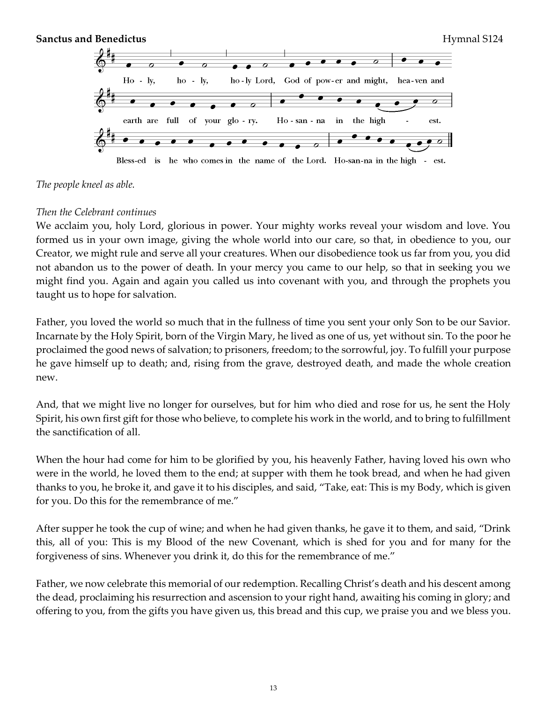

he who comes in the name of the Lord. Ho-san-na in the high Bless-ed is est.

#### *The people kneel as able.*

### *Then the Celebrant continues*

We acclaim you, holy Lord, glorious in power. Your mighty works reveal your wisdom and love. You formed us in your own image, giving the whole world into our care, so that, in obedience to you, our Creator, we might rule and serve all your creatures. When our disobedience took us far from you, you did not abandon us to the power of death. In your mercy you came to our help, so that in seeking you we might find you. Again and again you called us into covenant with you, and through the prophets you taught us to hope for salvation.

Father, you loved the world so much that in the fullness of time you sent your only Son to be our Savior. Incarnate by the Holy Spirit, born of the Virgin Mary, he lived as one of us, yet without sin. To the poor he proclaimed the good news of salvation; to prisoners, freedom; to the sorrowful, joy. To fulfill your purpose he gave himself up to death; and, rising from the grave, destroyed death, and made the whole creation new.

And, that we might live no longer for ourselves, but for him who died and rose for us, he sent the Holy Spirit, his own first gift for those who believe, to complete his work in the world, and to bring to fulfillment the sanctification of all.

When the hour had come for him to be glorified by you, his heavenly Father, having loved his own who were in the world, he loved them to the end; at supper with them he took bread, and when he had given thanks to you, he broke it, and gave it to his disciples, and said, "Take, eat: This is my Body, which is given for you. Do this for the remembrance of me."

After supper he took the cup of wine; and when he had given thanks, he gave it to them, and said, "Drink this, all of you: This is my Blood of the new Covenant, which is shed for you and for many for the forgiveness of sins. Whenever you drink it, do this for the remembrance of me."

Father, we now celebrate this memorial of our redemption. Recalling Christ's death and his descent among the dead, proclaiming his resurrection and ascension to your right hand, awaiting his coming in glory; and offering to you, from the gifts you have given us, this bread and this cup, we praise you and we bless you.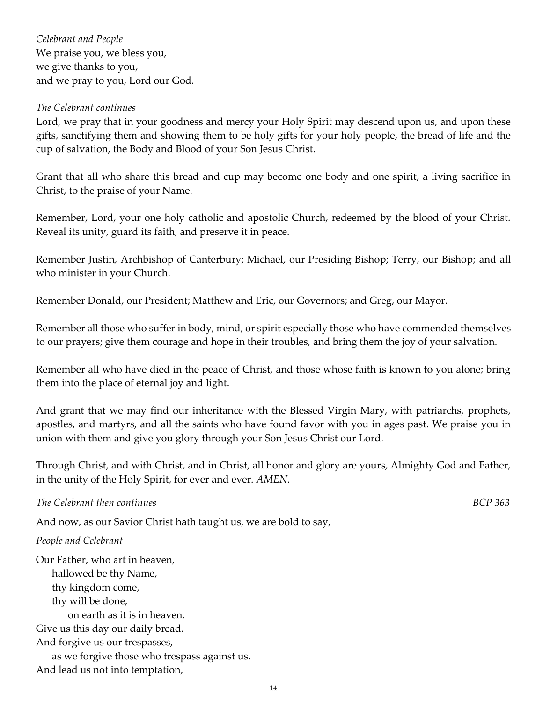*Celebrant and People* We praise you, we bless you, we give thanks to you, and we pray to you, Lord our God.

#### *The Celebrant continues*

Lord, we pray that in your goodness and mercy your Holy Spirit may descend upon us, and upon these gifts, sanctifying them and showing them to be holy gifts for your holy people, the bread of life and the cup of salvation, the Body and Blood of your Son Jesus Christ.

Grant that all who share this bread and cup may become one body and one spirit, a living sacrifice in Christ, to the praise of your Name.

Remember, Lord, your one holy catholic and apostolic Church, redeemed by the blood of your Christ. Reveal its unity, guard its faith, and preserve it in peace.

Remember Justin, Archbishop of Canterbury; Michael, our Presiding Bishop; Terry, our Bishop; and all who minister in your Church.

Remember Donald, our President; Matthew and Eric, our Governors; and Greg, our Mayor.

Remember all those who suffer in body, mind, or spirit especially those who have commended themselves to our prayers; give them courage and hope in their troubles, and bring them the joy of your salvation.

Remember all who have died in the peace of Christ, and those whose faith is known to you alone; bring them into the place of eternal joy and light.

And grant that we may find our inheritance with the Blessed Virgin Mary, with patriarchs, prophets, apostles, and martyrs, and all the saints who have found favor with you in ages past. We praise you in union with them and give you glory through your Son Jesus Christ our Lord.

Through Christ, and with Christ, and in Christ, all honor and glory are yours, Almighty God and Father, in the unity of the Holy Spirit, for ever and ever. *AMEN*.

#### *The Celebrant then continues BCP 363*

And now, as our Savior Christ hath taught us, we are bold to say,

#### *People and Celebrant*

Our Father, who art in heaven, hallowed be thy Name, thy kingdom come, thy will be done, on earth as it is in heaven. Give us this day our daily bread. And forgive us our trespasses, as we forgive those who trespass against us. And lead us not into temptation,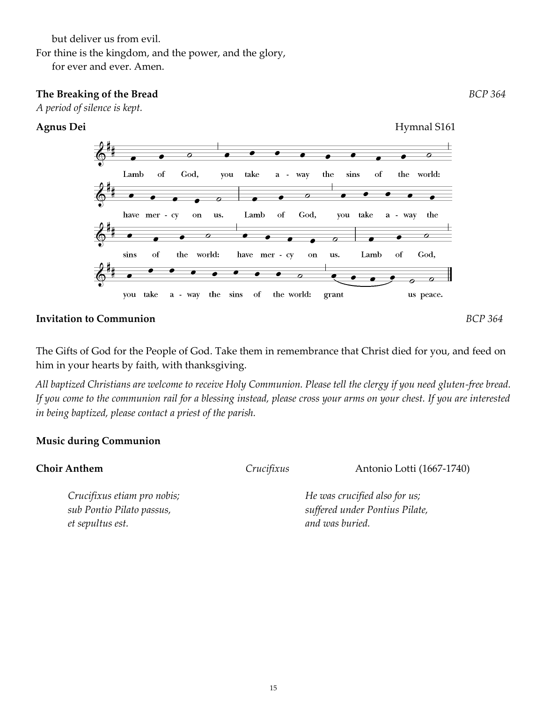but deliver us from evil.

For thine is the kingdom, and the power, and the glory,

for ever and ever. Amen.

#### **The Breaking of the Bread** *BCP 364*

*A period of silence is kept.*



#### **Invitation to Communion** *BCP 364*

The Gifts of God for the People of God. Take them in remembrance that Christ died for you, and feed on him in your hearts by faith, with thanksgiving.

*All baptized Christians are welcome to receive Holy Communion. Please tell the clergy if you need gluten-free bread. If you come to the communion rail for a blessing instead, please cross your arms on your chest. If you are interested in being baptized, please contact a priest of the parish.* 

#### **Music during Communion**

**Choir Anthem** *Crucifixus Crucifixus* Antonio Lotti (1667-1740)

*He was crucified also for us; suffered under Pontius Pilate, and was buried.*

*Crucifixus etiam pro nobis; sub Pontio Pilato passus, et sepultus est.*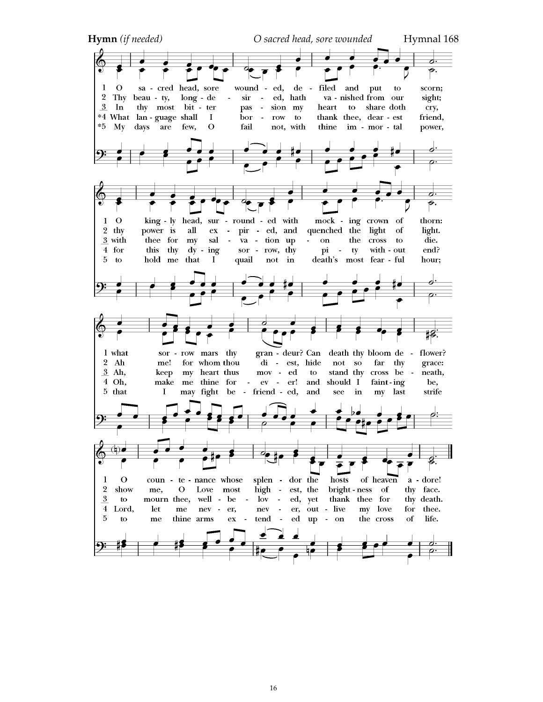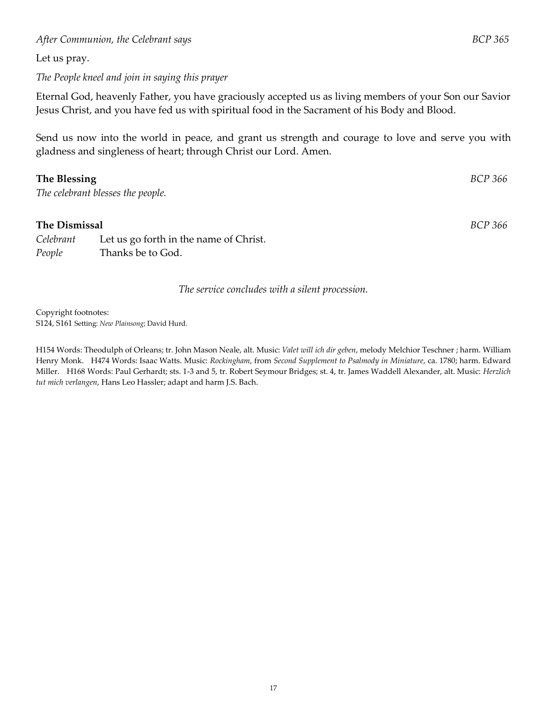#### After Communion, the Celebrant says **BCP** 365

Let us pray.

*The People kneel and join in saying this prayer*

Eternal God, heavenly Father, you have graciously accepted us as living members of your Son our Savior Jesus Christ, and you have fed us with spiritual food in the Sacrament of his Body and Blood.

Send us now into the world in peace, and grant us strength and courage to love and serve you with gladness and singleness of heart; through Christ our Lord. Amen.

#### **The Blessing** *BCP 366*

*The celebrant blesses the people.*

#### **The Dismissal** *BCP 366*

*Celebrant* Let us go forth in the name of Christ. *People* Thanks be to God.

#### *The service concludes with a silent procession.*

Copyright footnotes: S124, S161 Setting: *New Plainsong*; David Hurd.

H154 Words: Theodulph of Orleans; tr. John Mason Neale, alt. Music: *Valet will ich dir geben*, melody Melchior Teschner ; harm. William Henry Monk. H474 Words: Isaac Watts. Music: *Rockingham*, from *Second Supplement to Psalmody in Miniature*, ca. 1780; harm. Edward Miller. H168 Words: Paul Gerhardt; sts. 1-3 and 5, tr. Robert Seymour Bridges; st. 4, tr. James Waddell Alexander, alt. Music: *Herzlich tut mich verlangen*, Hans Leo Hassler; adapt and harm J.S. Bach.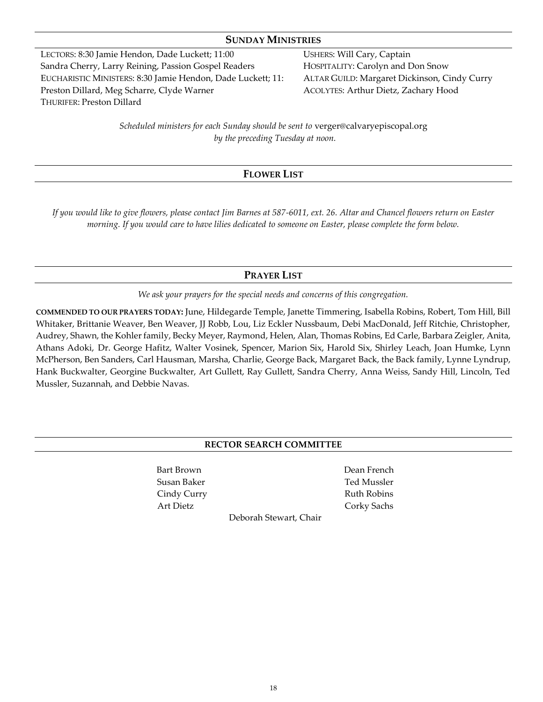#### **SUNDAY MINISTRIES**

LECTORS: 8:30 Jamie Hendon, Dade Luckett; 11:00 Sandra Cherry, Larry Reining, Passion Gospel Readers EUCHARISTIC MINISTERS: 8:30 Jamie Hendon, Dade Luckett; 11: Preston Dillard, Meg Scharre, Clyde Warner THURIFER: Preston Dillard

USHERS: Will Cary, Captain HOSPITALITY: Carolyn and Don Snow ALTAR GUILD: Margaret Dickinson, Cindy Curry ACOLYTES: Arthur Dietz, Zachary Hood

*Scheduled ministers for each Sunday should be sent to* [verger@calvaryepiscopal.org](mailto:verger@calvaryepiscopal.org) *by the preceding Tuesday at noon.*

#### **FLOWER LIST**

*If you would like to give flowers, please contact Jim Barnes at 587-6011, ext. 26. Altar and Chancel flowers return on Easter morning. If you would care to have lilies dedicated to someone on Easter, please complete the form below.*

#### **PRAYER LIST**

*We ask your prayers for the special needs and concerns of this congregation.*

**COMMENDED TO OUR PRAYERS TODAY:** June, Hildegarde Temple, Janette Timmering, Isabella Robins, Robert, Tom Hill, Bill Whitaker, Brittanie Weaver, Ben Weaver, JJ Robb, Lou, Liz Eckler Nussbaum, Debi MacDonald, Jeff Ritchie, Christopher, Audrey, Shawn, the Kohler family, Becky Meyer, Raymond, Helen, Alan, Thomas Robins, Ed Carle, Barbara Zeigler, Anita, Athans Adoki, Dr. George Hafitz, Walter Vosinek, Spencer, Marion Six, Harold Six, Shirley Leach, Joan Humke, Lynn McPherson, Ben Sanders, Carl Hausman, Marsha, Charlie, George Back, Margaret Back, the Back family, Lynne Lyndrup, Hank Buckwalter, Georgine Buckwalter, Art Gullett, Ray Gullett, Sandra Cherry, Anna Weiss, Sandy Hill, Lincoln, Ted Mussler, Suzannah, and Debbie Navas.

#### **RECTOR SEARCH COMMITTEE**

Bart Brown Dean French Susan Baker Ted Mussler Cindy Curry **Ruth Robins** Art Dietz Corky Sachs

Deborah Stewart, Chair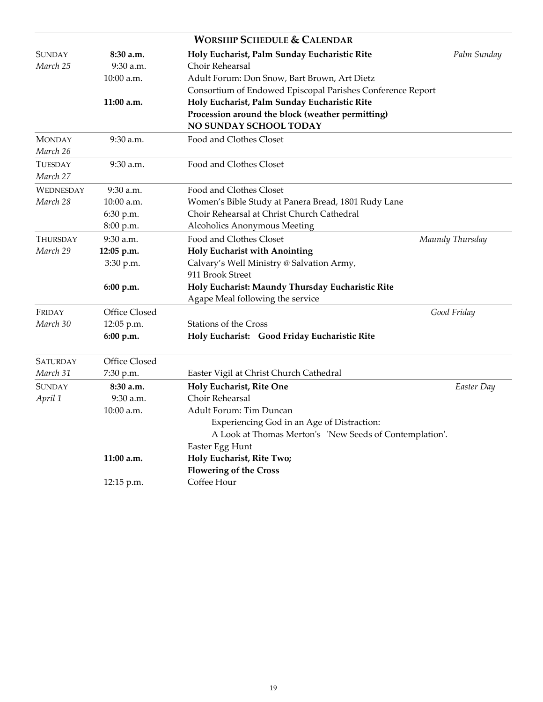| <b>WORSHIP SCHEDULE &amp; CALENDAR</b> |               |                                                            |                 |
|----------------------------------------|---------------|------------------------------------------------------------|-----------------|
| <b>SUNDAY</b>                          | 8:30 a.m.     | Holy Eucharist, Palm Sunday Eucharistic Rite               | Palm Sunday     |
| March 25                               | $9:30$ a.m.   | Choir Rehearsal                                            |                 |
|                                        | $10:00$ a.m.  | Adult Forum: Don Snow, Bart Brown, Art Dietz               |                 |
|                                        |               | Consortium of Endowed Episcopal Parishes Conference Report |                 |
|                                        | 11:00 a.m.    | Holy Eucharist, Palm Sunday Eucharistic Rite               |                 |
|                                        |               | Procession around the block (weather permitting)           |                 |
|                                        |               | NO SUNDAY SCHOOL TODAY                                     |                 |
| <b>MONDAY</b>                          | $9:30$ a.m.   | Food and Clothes Closet                                    |                 |
| March 26                               |               |                                                            |                 |
| <b>TUESDAY</b>                         | $9:30$ a.m.   | Food and Clothes Closet                                    |                 |
| March 27                               |               |                                                            |                 |
| <b>WEDNESDAY</b>                       | 9:30 a.m.     | Food and Clothes Closet                                    |                 |
| March 28                               | 10:00 a.m.    | Women's Bible Study at Panera Bread, 1801 Rudy Lane        |                 |
|                                        | 6:30 p.m.     | Choir Rehearsal at Christ Church Cathedral                 |                 |
|                                        | 8:00 p.m.     | Alcoholics Anonymous Meeting                               |                 |
| <b>THURSDAY</b>                        | 9:30 a.m.     | Food and Clothes Closet                                    | Maundy Thursday |
| March 29                               | 12:05 p.m.    | <b>Holy Eucharist with Anointing</b>                       |                 |
|                                        | 3:30 p.m.     | Calvary's Well Ministry @ Salvation Army,                  |                 |
|                                        |               | 911 Brook Street                                           |                 |
|                                        | 6:00 p.m.     | Holy Eucharist: Maundy Thursday Eucharistic Rite           |                 |
|                                        |               | Agape Meal following the service                           |                 |
| FRIDAY                                 | Office Closed |                                                            | Good Friday     |
| March 30                               | 12:05 p.m.    | <b>Stations of the Cross</b>                               |                 |
|                                        | 6:00 p.m.     | Holy Eucharist: Good Friday Eucharistic Rite               |                 |
| <b>SATURDAY</b>                        | Office Closed |                                                            |                 |
| March 31                               | 7:30 p.m.     | Easter Vigil at Christ Church Cathedral                    |                 |
| <b>SUNDAY</b>                          | 8:30 a.m.     | Holy Eucharist, Rite One                                   | Easter Day      |
| April 1                                | 9:30 a.m.     | Choir Rehearsal                                            |                 |
|                                        | 10:00 a.m.    | Adult Forum: Tim Duncan                                    |                 |
|                                        |               | Experiencing God in an Age of Distraction:                 |                 |
|                                        |               | A Look at Thomas Merton's 'New Seeds of Contemplation'.    |                 |
|                                        |               | Easter Egg Hunt                                            |                 |
|                                        | 11:00 a.m.    | Holy Eucharist, Rite Two;                                  |                 |
|                                        |               | <b>Flowering of the Cross</b>                              |                 |
|                                        | 12:15 p.m.    | Coffee Hour                                                |                 |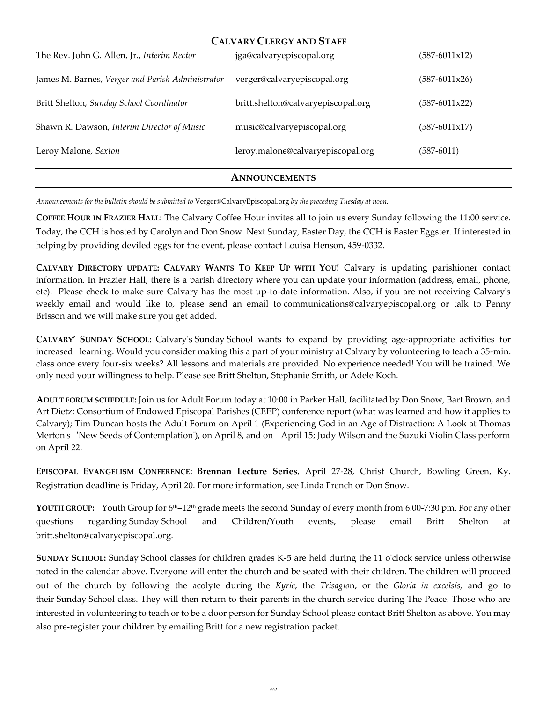| <b>CALVARY CLERGY AND STAFF</b>                  |                                    |                          |  |
|--------------------------------------------------|------------------------------------|--------------------------|--|
| The Rev. John G. Allen, Jr., Interim Rector      | jga@calvaryepiscopal.org           | $(587-6011x12)$          |  |
| James M. Barnes, Verger and Parish Administrator | verger@calvaryepiscopal.org        | $(587-6011x26)$          |  |
| Britt Shelton, Sunday School Coordinator         | britt.shelton@calvaryepiscopal.org | $(587 - 6011 \times 22)$ |  |
| Shawn R. Dawson, Interim Director of Music       | music@calvaryepiscopal.org         | $(587 - 6011 \times 17)$ |  |
| Leroy Malone, Sexton                             | leroy.malone@calvaryepiscopal.org  | $(587 - 6011)$           |  |
|                                                  | <b>ANNOUNCEMENTS</b>               |                          |  |

*Announcements for the bulletin should be submitted to* [Verger@CalvaryEpiscopal.org](mailto:Verger@CalvaryEpiscopal.org) *by the preceding Tuesday at noon.* 

**COFFEE HOUR IN FRAZIER HALL**: The Calvary Coffee Hour invites all to join us every Sunday following the 11:00 service. Today, the CCH is hosted by Carolyn and Don Snow. Next Sunday, Easter Day, the CCH is Easter Eggster. If interested in helping by providing deviled eggs for the event, please contact Louisa Henson, 459-0332.

CALVARY DIRECTORY UPDATE: CALVARY WANTS TO KEEP UP WITH YOU! Calvary is updating parishioner contact information. In Frazier Hall, there is a parish directory where you can update your information (address, email, phone, etc). Please check to make sure Calvary has the most up-to-date information. Also, if you are not receiving Calvary's weekly email and would like to, please send an email to [communications@calvaryepiscopal.org](mailto:communications@calvaryepiscopal.org) or talk to Penny Brisson and we will make sure you get added.

**CALVARY' SUNDAY SCHOOL:** Calvary's Sunday School wants to expand by providing age-appropriate activities for increased learning. Would you consider making this a part of your ministry at Calvary by volunteering to teach a 35-min. class once every four-six weeks? All lessons and materials are provided. No experience needed! You will be trained. We only need your willingness to help. Please see Britt Shelton, Stephanie Smith, or Adele Koch.

**ADULT FORUM SCHEDULE:** Join us for Adult Forum today at 10:00 in Parker Hall, facilitated by Don Snow, Bart Brown, and Art Dietz: Consortium of Endowed Episcopal Parishes (CEEP) conference report (what was learned and how it applies to Calvary); Tim Duncan hosts the Adult Forum on April 1 (Experiencing God in an Age of Distraction: A Look at Thomas Merton's 'New Seeds of Contemplation'), on April 8, and on April 15; Judy Wilson and the Suzuki Violin Class perform on April 22.

**EPISCOPAL EVANGELISM CONFERENCE: Brennan Lecture Series**, April 27-28, Christ Church, Bowling Green, Ky. Registration deadline is Friday, April 20. For more information, see Linda French or Don Snow.

**YOUTH GROUP:** Youth Group for 6th–12th grade meets the second Sunday of every month from 6:00-7:30 pm. For any other questions regarding Sunday School and Children/Youth events, please email Britt Shelton at [britt.shelton@calvaryepiscopal.org.](mailto:britt.shelton@calvaryepiscopal.org)

**SUNDAY SCHOOL:** Sunday School classes for children grades K-5 are held during the 11 o'clock service unless otherwise noted in the calendar above. Everyone will enter the church and be seated with their children. The children will proceed out of the church by following the acolyte during the *Kyrie*, the *Trisagio*n, or the *Gloria in excelsis,* and go to their Sunday School class. They will then return to their parents in the church service during The Peace. Those who are interested in volunteering to teach or to be a door person for Sunday School please contact Britt Shelton as above. You may also pre-register your children by emailing Britt for a new registration packet.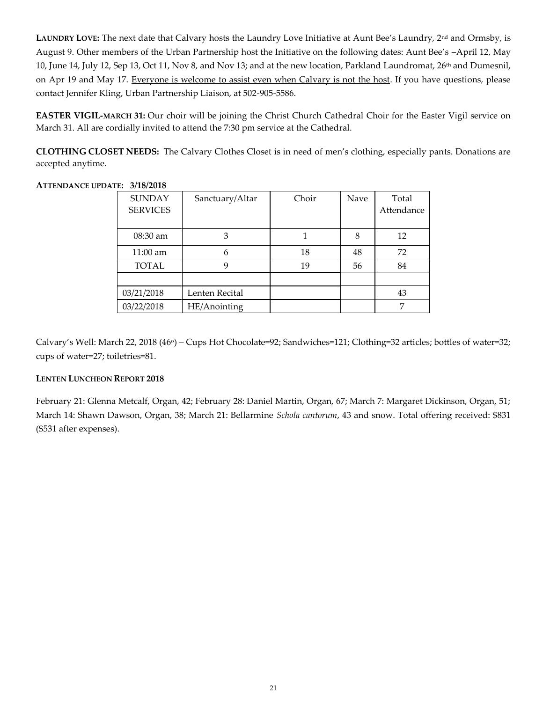**LAUNDRY LOVE:** The next date that Calvary hosts the Laundry Love Initiative at Aunt Bee's Laundry, 2nd and Ormsby, is August 9. Other members of the Urban Partnership host the Initiative on the following dates: Aunt Bee's –April 12, May 10, June 14, July 12, Sep 13, Oct 11, Nov 8, and Nov 13; and at the new location, Parkland Laundromat, 26<sup>th</sup> and Dumesnil, on Apr 19 and May 17. Everyone is welcome to assist even when Calvary is not the host. If you have questions, please contact Jennifer Kling, Urban Partnership Liaison, at 502-905-5586.

**EASTER VIGIL-MARCH 31:** Our choir will be joining the Christ Church Cathedral Choir for the Easter Vigil service on March 31. All are cordially invited to attend the 7:30 pm service at the Cathedral.

**CLOTHING CLOSET NEEDS:** The Calvary Clothes Closet is in need of men's clothing, especially pants. Donations are accepted anytime.

| <b>SUNDAY</b><br><b>SERVICES</b> | Sanctuary/Altar | Choir | Nave | Total<br>Attendance |
|----------------------------------|-----------------|-------|------|---------------------|
| $08:30$ am                       | З               |       | 8    | 12                  |
| $11:00$ am                       | 6               | 18    | 48   | 72                  |
| <b>TOTAL</b>                     | 9               | 19    | 56   | 84                  |
|                                  |                 |       |      |                     |
| 03/21/2018                       | Lenten Recital  |       |      | 43                  |
| 03/22/2018                       | HE/Anointing    |       |      | 7                   |

#### **ATTENDANCE UPDATE: 3/18/2018**

Calvary's Well: March 22, 2018 (46º) – Cups Hot Chocolate=92; Sandwiches=121; Clothing=32 articles; bottles of water=32; cups of water=27; toiletries=81.

#### **LENTEN LUNCHEON REPORT 2018**

February 21: Glenna Metcalf, Organ, 42; February 28: Daniel Martin, Organ, 67; March 7: Margaret Dickinson, Organ, 51; March 14: Shawn Dawson, Organ, 38; March 21: Bellarmine *Schola cantorum*, 43 and snow. Total offering received: \$831 (\$531 after expenses).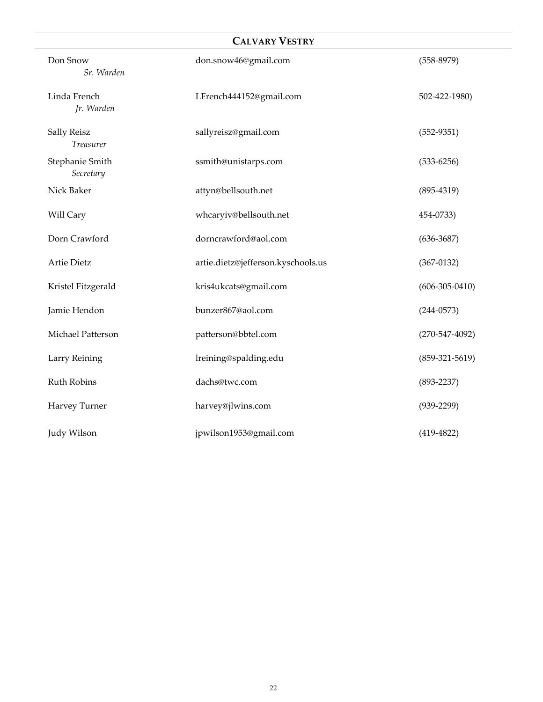| <b>CALVARY VESTRY</b>           |                                    |                      |  |  |
|---------------------------------|------------------------------------|----------------------|--|--|
| Don Snow<br>Sr. Warden          | don.snow46@gmail.com               | $(558-8979)$         |  |  |
| Linda French<br>Jr. Warden      | LFrench444152@gmail.com            | 502-422-1980)        |  |  |
| <b>Sally Reisz</b><br>Treasurer | sallyreisz@gmail.com               | $(552-9351)$         |  |  |
| Stephanie Smith<br>Secretary    | ssmith@unistarps.com               | $(533 - 6256)$       |  |  |
| Nick Baker                      | attyn@bellsouth.net                | $(895-4319)$         |  |  |
| Will Cary                       | whcaryiv@bellsouth.net             | 454-0733)            |  |  |
| Dorn Crawford                   | dorncrawford@aol.com               | $(636-3687)$         |  |  |
| <b>Artie Dietz</b>              | artie.dietz@jefferson.kyschools.us | $(367-0132)$         |  |  |
| Kristel Fitzgerald              | kris4ukcats@gmail.com              | $(606 - 305 - 0410)$ |  |  |
| Jamie Hendon                    | bunzer867@aol.com                  | $(244 - 0573)$       |  |  |
| Michael Patterson               | patterson@bbtel.com                | $(270 - 547 - 4092)$ |  |  |
| Larry Reining                   | lreining@spalding.edu              | $(859-321-5619)$     |  |  |
| <b>Ruth Robins</b>              | dachs@twc.com                      | $(893 - 2237)$       |  |  |
| Harvey Turner                   | harvey@jlwins.com                  | $(939-2299)$         |  |  |
| Judy Wilson                     | jpwilson1953@gmail.com             | $(419-4822)$         |  |  |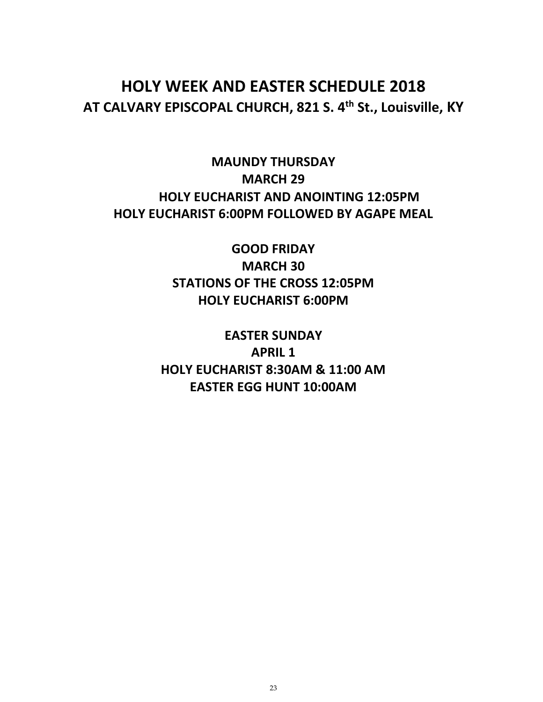# **HOLY WEEK AND EASTER SCHEDULE 2018 AT CALVARY EPISCOPAL CHURCH, 821 S. 4th St., Louisville, KY**

**MAUNDY THURSDAY MARCH 29 HOLY EUCHARIST AND ANOINTING 12:05PM HOLY EUCHARIST 6:00PM FOLLOWED BY AGAPE MEAL**

> **GOOD FRIDAY MARCH 30 STATIONS OF THE CROSS 12:05PM HOLY EUCHARIST 6:00PM**

**EASTER SUNDAY APRIL 1 HOLY EUCHARIST 8:30AM & 11:00 AM EASTER EGG HUNT 10:00AM**